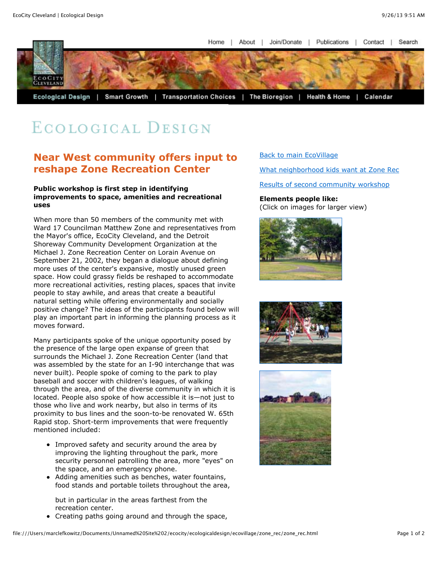Home I About I Join/Donate I Publications | Contact | Search



# ECOLOGICAL DESIGN

## **Near West community offers input to reshape Zone Recreation Center**

#### **Public workshop is first step in identifying improvements to space, amenities and recreational uses**

When more than 50 members of the community met with Ward 17 Councilman Matthew Zone and representatives from the Mayor's office, EcoCity Cleveland, and the Detroit Shoreway Community Development Organization at the Michael J. Zone Recreation Center on Lorain Avenue on September 21, 2002, they began a dialogue about defining more uses of the center's expansive, mostly unused green space. How could grassy fields be reshaped to accommodate more recreational activities, resting places, spaces that invite people to stay awhile, and areas that create a beautiful natural setting while offering environmentally and socially positive change? The ideas of the participants found below will play an important part in informing the planning process as it moves forward.

Many participants spoke of the unique opportunity posed by the presence of the large open expanse of green that surrounds the Michael J. Zone Recreation Center (land that was assembled by the state for an I-90 interchange that was never built). People spoke of coming to the park to play baseball and soccer with children's leagues, of walking through the area, and of the diverse community in which it is located. People also spoke of how accessible it is—not just to those who live and work nearby, but also in terms of its proximity to bus lines and the soon-to-be renovated W. 65th Rapid stop. Short-term improvements that were frequently mentioned included:

- Improved safety and security around the area by improving the lighting throughout the park, more security personnel patrolling the area, more "eyes" on the space, and an emergency phone.
- Adding amenities such as benches, water fountains, food stands and portable toilets throughout the area,

but in particular in the areas farthest from the recreation center.

Creating paths going around and through the space,

### [Back to main EcoVillage](file:///Users/marclefkowitz/Documents/Unnamed%20Site%202/ecocity/ecologicaldesign/ecovillage/intro_ecovillage.html)

[What neighborhood kids want at Zone Rec](file:///Users/marclefkowitz/Documents/Unnamed%20Site%202/ecocity/ecologicaldesign/ecovillage/zone_rec/zone_rec_kids.html)

[Results of second community workshop](file:///Users/marclefkowitz/Documents/Unnamed%20Site%202/ecocity/ecologicaldesign/ecovillage/zone_rec/zone_rec_2nd.html)

### **Elements people like:**

(Click on images for larger view)